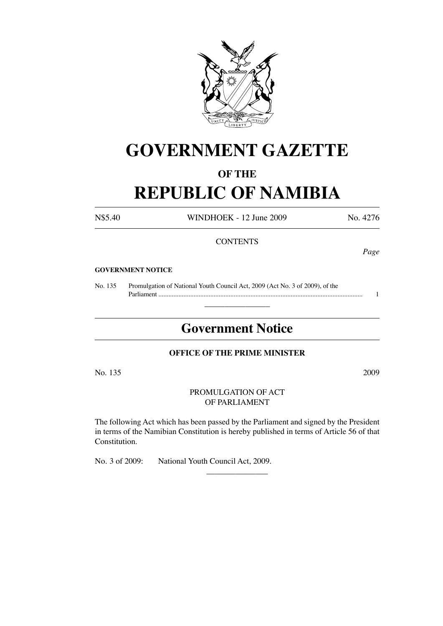

# **GOVERNMENT GAZETTE**

### **OF THE**

# **REPUBLIC OF NAMIBIA**

N\$5.40 WINDHOEK - 12 June 2009 No. 4276

#### **CONTENTS**

*Page*

#### **GOVERNMENT NOTICE**

No. 135 Promulgation of National Youth Council Act, 2009 (Act No. 3 of 2009), of the Parliament .......................................................................................................................... 1

## **Government Notice**

 $\overline{\phantom{a}}$  , where  $\overline{\phantom{a}}$ 

#### **OFFICE OF THE PRIME MINISTER**

No. 135 2009

#### PROMULGATION OF ACT OF PARLIAMENT

The following Act which has been passed by the Parliament and signed by the President in terms of the Namibian Constitution is hereby published in terms of Article 56 of that Constitution.

 $\overline{\phantom{a}}$  , where  $\overline{\phantom{a}}$ 

No. 3 of 2009: National Youth Council Act, 2009.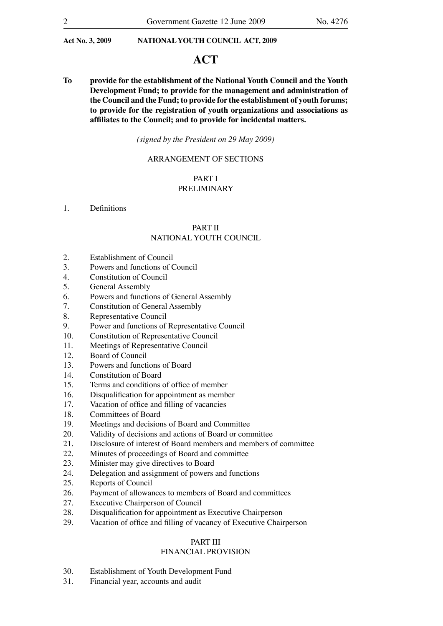### **ACT**

**To provide for the establishment of the National Youth Council and the Youth Development Fund; to provide for the management and administration of the Council and the Fund; to provide for the establishment of youth forums; to provide for the registration of youth organizations and associations as affiliates to the Council; and to provide for incidental matters.**

*(signed by the President on 29 May 2009)*

#### ARRANGEMENT OF SECTIONS

#### PART I PRELIMINARY

#### 1. Definitions

#### PART II NATIONAL YOUTH COUNCIL

- 2. Establishment of Council
- 3. Powers and functions of Council
- 4. Constitution of Council
- 5. General Assembly
- 6. Powers and functions of General Assembly
- 7. Constitution of General Assembly
- 8. Representative Council
- 9. Power and functions of Representative Council
- 10. Constitution of Representative Council
- 11. Meetings of Representative Council
- 12. Board of Council
- 13. Powers and functions of Board
- 14. Constitution of Board
- 15. Terms and conditions of office of member
- 16. Disqualification for appointment as member
- 17. Vacation of office and filling of vacancies
- 18. Committees of Board
- 19. Meetings and decisions of Board and Committee
- 20. Validity of decisions and actions of Board or committee
- 21. Disclosure of interest of Board members and members of committee
- 22. Minutes of proceedings of Board and committee
- 23. Minister may give directives to Board
- 24. Delegation and assignment of powers and functions
- 25. Reports of Council
- 26. Payment of allowances to members of Board and committees
- 27. Executive Chairperson of Council
- 28. Disqualification for appointment as Executive Chairperson
- 29. Vacation of office and filling of vacancy of Executive Chairperson

#### PART III

#### FINANCIAL PROVISION

- 30. Establishment of Youth Development Fund
- 31. Financial year, accounts and audit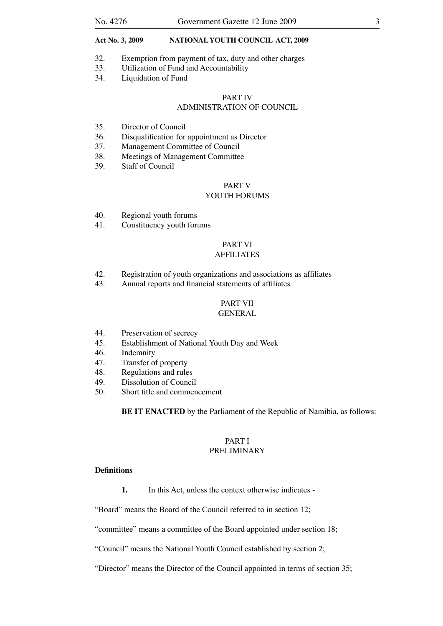- 32. Exemption from payment of tax, duty and other charges
- 33. Utilization of Fund and Accountability
- 34. Liquidation of Fund

#### PART IV ADMINISTRATION OF COUNCIL

- 35. Director of Council
- 36. Disqualification for appointment as Director
- 37. Management Committee of Council
- 38. Meetings of Management Committee
- 39. Staff of Council

#### PART V

#### YOUTH FORUMS

- 40. Regional youth forums
- 41. Constituency youth forums

#### PART VI AFFILIATES

- 42. Registration of youth organizations and associations as affiliates
- 43. Annual reports and financial statements of affiliates

### PART VII

#### GENERAL

- 44. Preservation of secrecy
- 45. Establishment of National Youth Day and Week
- 46. Indemnity
- 47. Transfer of property
- 48. Regulations and rules
- 49. Dissolution of Council
- 50. Short title and commencement

**BE IT ENACTED** by the Parliament of the Republic of Namibia, as follows:

#### PART I PRELIMINARY

#### **Definitions**

**1.** In this Act, unless the context otherwise indicates -

"Board" means the Board of the Council referred to in section 12;

"committee" means a committee of the Board appointed under section 18;

"Council" means the National Youth Council established by section 2;

"Director" means the Director of the Council appointed in terms of section 35;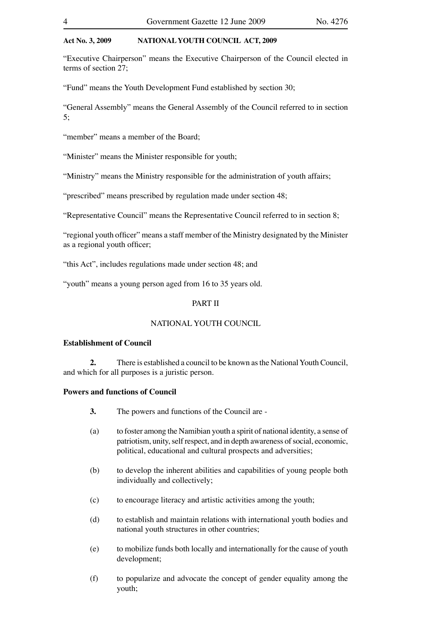"Executive Chairperson" means the Executive Chairperson of the Council elected in terms of section 27;

"Fund" means the Youth Development Fund established by section 30;

"General Assembly" means the General Assembly of the Council referred to in section 5;

"member" means a member of the Board:

"Minister" means the Minister responsible for youth;

"Ministry" means the Ministry responsible for the administration of youth affairs;

"prescribed" means prescribed by regulation made under section 48;

"Representative Council" means the Representative Council referred to in section 8;

"regional youth officer" means a staff member of the Ministry designated by the Minister as a regional youth officer;

"this Act", includes regulations made under section 48; and

"youth" means a young person aged from 16 to 35 years old.

#### PART II

#### NATIONAL YOUTH COUNCIL

#### **Establishment of Council**

**2.** There is established a council to be known as the National Youth Council, and which for all purposes is a juristic person.

#### **Powers and functions of Council**

- **3.** The powers and functions of the Council are -
- (a) to foster among the Namibian youth a spirit of national identity, a sense of patriotism, unity, self respect, and in depth awareness of social, economic, political, educational and cultural prospects and adversities;
- (b) to develop the inherent abilities and capabilities of young people both individually and collectively;
- (c) to encourage literacy and artistic activities among the youth;
- (d) to establish and maintain relations with international youth bodies and national youth structures in other countries;
- (e) to mobilize funds both locally and internationally for the cause of youth development;
- (f) to popularize and advocate the concept of gender equality among the youth;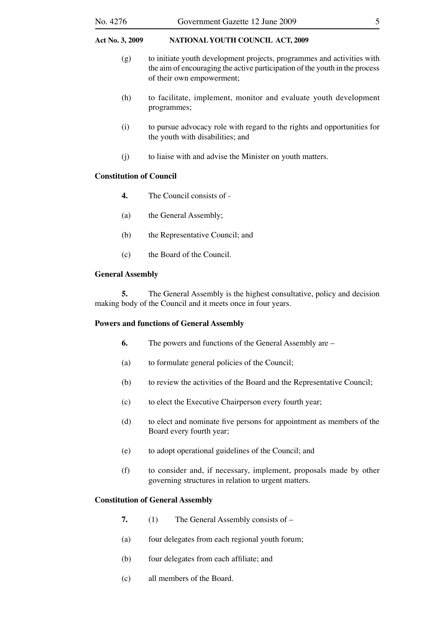#### No. 4276 Government Gazette 12 June 2009 5

#### **Act No. 3, 2009 NATIONAL YOUTH COUNCIL ACT, 2009**

- (g) to initiate youth development projects, programmes and activities with the aim of encouraging the active participation of the youth in the process of their own empowerment;
- (h) to facilitate, implement, monitor and evaluate youth development programmes;
- (i) to pursue advocacy role with regard to the rights and opportunities for the youth with disabilities; and
- (j) to liaise with and advise the Minister on youth matters.

#### **Constitution of Council**

- **4.** The Council consists of -
- (a) the General Assembly;
- (b) the Representative Council; and
- (c) the Board of the Council.

#### **General Assembly**

**5.** The General Assembly is the highest consultative, policy and decision making body of the Council and it meets once in four years.

#### **Powers and functions of General Assembly**

- **6.** The powers and functions of the General Assembly are –
- (a) to formulate general policies of the Council;
- (b) to review the activities of the Board and the Representative Council;
- (c) to elect the Executive Chairperson every fourth year;
- (d) to elect and nominate five persons for appointment as members of the Board every fourth year;
- (e) to adopt operational guidelines of the Council; and
- (f) to consider and, if necessary, implement, proposals made by other governing structures in relation to urgent matters.

#### **Constitution of General Assembly**

- **7.** (1) The General Assembly consists of –
- (a) four delegates from each regional youth forum;
- (b) four delegates from each affiliate; and
- (c) all members of the Board.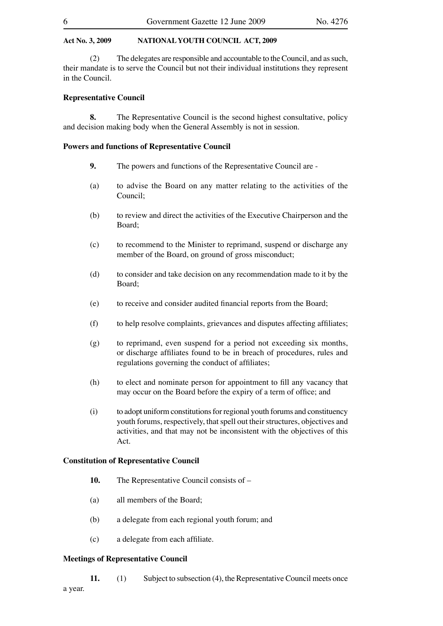(2) The delegates are responsible and accountable to the Council, and as such, their mandate is to serve the Council but not their individual institutions they represent in the Council.

#### **Representative Council**

**8.** The Representative Council is the second highest consultative, policy and decision making body when the General Assembly is not in session.

#### **Powers and functions of Representative Council**

- **9.** The powers and functions of the Representative Council are -
- (a) to advise the Board on any matter relating to the activities of the Council;
- (b) to review and direct the activities of the Executive Chairperson and the Board;
- (c) to recommend to the Minister to reprimand, suspend or discharge any member of the Board, on ground of gross misconduct;
- (d) to consider and take decision on any recommendation made to it by the Board;
- (e) to receive and consider audited financial reports from the Board;
- (f) to help resolve complaints, grievances and disputes affecting affiliates;
- (g) to reprimand, even suspend for a period not exceeding six months, or discharge affiliates found to be in breach of procedures, rules and regulations governing the conduct of affiliates;
- (h) to elect and nominate person for appointment to fill any vacancy that may occur on the Board before the expiry of a term of office; and
- (i) to adopt uniform constitutions for regional youth forums and constituency youth forums, respectively, that spell out their structures, objectives and activities, and that may not be inconsistent with the objectives of this Act.

#### **Constitution of Representative Council**

- **10.** The Representative Council consists of –
- (a) all members of the Board;
- (b) a delegate from each regional youth forum; and
- (c) a delegate from each affiliate.

#### **Meetings of Representative Council**

**11.** (1) Subject to subsection (4), the Representative Council meets once a year.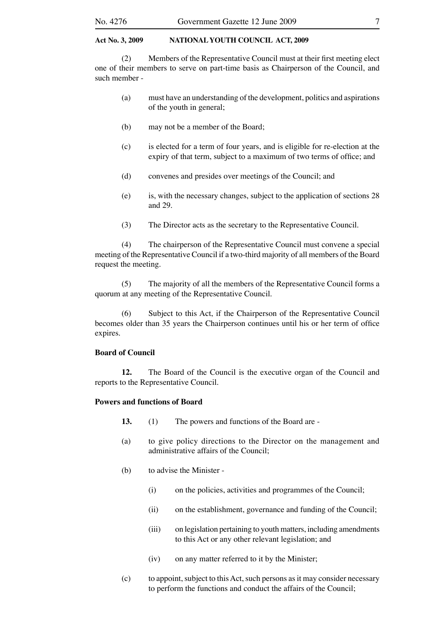(2) Members of the Representative Council must at their first meeting elect one of their members to serve on part-time basis as Chairperson of the Council, and such member -

- (a) must have an understanding of the development, politics and aspirations of the youth in general;
- (b) may not be a member of the Board;
- (c) is elected for a term of four years, and is eligible for re-election at the expiry of that term, subject to a maximum of two terms of office; and
- (d) convenes and presides over meetings of the Council; and
- (e) is, with the necessary changes, subject to the application of sections 28 and 29.
- (3) The Director acts as the secretary to the Representative Council.

(4) The chairperson of the Representative Council must convene a special meeting of the Representative Council if a two-third majority of all members of the Board request the meeting.

(5) The majority of all the members of the Representative Council forms a quorum at any meeting of the Representative Council.

(6) Subject to this Act, if the Chairperson of the Representative Council becomes older than 35 years the Chairperson continues until his or her term of office expires.

#### **Board of Council**

**12.** The Board of the Council is the executive organ of the Council and reports to the Representative Council.

#### **Powers and functions of Board**

- **13.** (1) The powers and functions of the Board are -
- (a) to give policy directions to the Director on the management and administrative affairs of the Council;
- (b) to advise the Minister
	- (i) on the policies, activities and programmes of the Council;
	- (ii) on the establishment, governance and funding of the Council;
	- (iii) on legislation pertaining to youth matters, including amendments to this Act or any other relevant legislation; and
	- (iv) on any matter referred to it by the Minister;
- (c) to appoint, subject to this Act, such persons as it may consider necessary to perform the functions and conduct the affairs of the Council;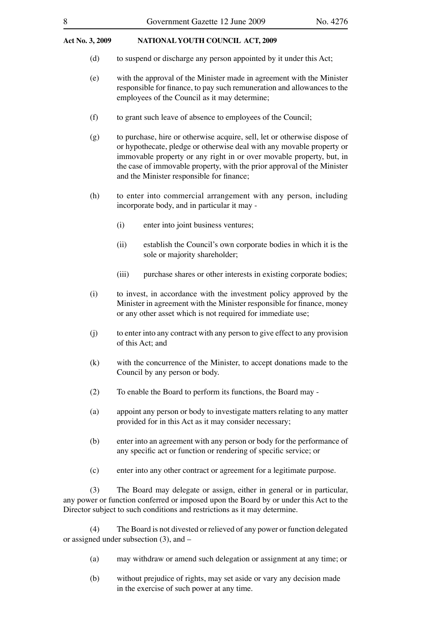- (d) to suspend or discharge any person appointed by it under this Act;
- (e) with the approval of the Minister made in agreement with the Minister responsible for finance, to pay such remuneration and allowances to the employees of the Council as it may determine;
- (f) to grant such leave of absence to employees of the Council;
- (g) to purchase, hire or otherwise acquire, sell, let or otherwise dispose of or hypothecate, pledge or otherwise deal with any movable property or immovable property or any right in or over movable property, but, in the case of immovable property, with the prior approval of the Minister and the Minister responsible for finance;
- (h) to enter into commercial arrangement with any person, including incorporate body, and in particular it may -
	- (i) enter into joint business ventures;
	- (ii) establish the Council's own corporate bodies in which it is the sole or majority shareholder;
	- (iii) purchase shares or other interests in existing corporate bodies;
- (i) to invest, in accordance with the investment policy approved by the Minister in agreement with the Minister responsible for finance, money or any other asset which is not required for immediate use;
- (j) to enter into any contract with any person to give effect to any provision of this Act; and
- (k) with the concurrence of the Minister, to accept donations made to the Council by any person or body.
- (2) To enable the Board to perform its functions, the Board may -
- (a) appoint any person or body to investigate matters relating to any matter provided for in this Act as it may consider necessary;
- (b) enter into an agreement with any person or body for the performance of any specific act or function or rendering of specific service; or
- (c) enter into any other contract or agreement for a legitimate purpose.

(3) The Board may delegate or assign, either in general or in particular, any power or function conferred or imposed upon the Board by or under this Act to the Director subject to such conditions and restrictions as it may determine.

(4) The Board is not divested or relieved of any power or function delegated or assigned under subsection (3), and –

- (a) may withdraw or amend such delegation or assignment at any time; or
- (b) without prejudice of rights, may set aside or vary any decision made in the exercise of such power at any time.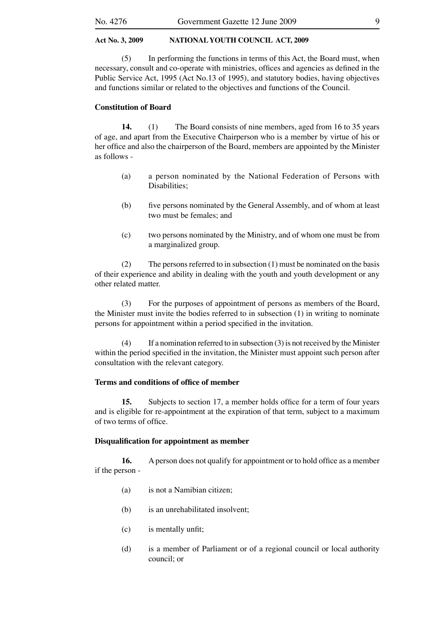(5) In performing the functions in terms of this Act, the Board must, when necessary, consult and co-operate with ministries, offices and agencies as defined in the Public Service Act, 1995 (Act No.13 of 1995), and statutory bodies, having objectives and functions similar or related to the objectives and functions of the Council.

#### **Constitution of Board**

**14.** (1) The Board consists of nine members, aged from 16 to 35 years of age, and apart from the Executive Chairperson who is a member by virtue of his or her office and also the chairperson of the Board, members are appointed by the Minister as follows -

- (a) a person nominated by the National Federation of Persons with Disabilities;
- (b) five persons nominated by the General Assembly, and of whom at least two must be females; and
- (c) two persons nominated by the Ministry, and of whom one must be from a marginalized group.

(2) The persons referred to in subsection  $(1)$  must be nominated on the basis of their experience and ability in dealing with the youth and youth development or any other related matter.

(3) For the purposes of appointment of persons as members of the Board, the Minister must invite the bodies referred to in subsection (1) in writing to nominate persons for appointment within a period specified in the invitation.

(4) If a nomination referred to in subsection (3) is not received by the Minister within the period specified in the invitation, the Minister must appoint such person after consultation with the relevant category.

#### **Terms and conditions of office of member**

**15.** Subjects to section 17, a member holds office for a term of four years and is eligible for re-appointment at the expiration of that term, subject to a maximum of two terms of office.

#### **Disqualification for appointment as member**

**16.** A person does not qualify for appointment or to hold office as a member if the person -

- (a) is not a Namibian citizen;
- (b) is an unrehabilitated insolvent;
- (c) is mentally unfit;
- (d) is a member of Parliament or of a regional council or local authority council; or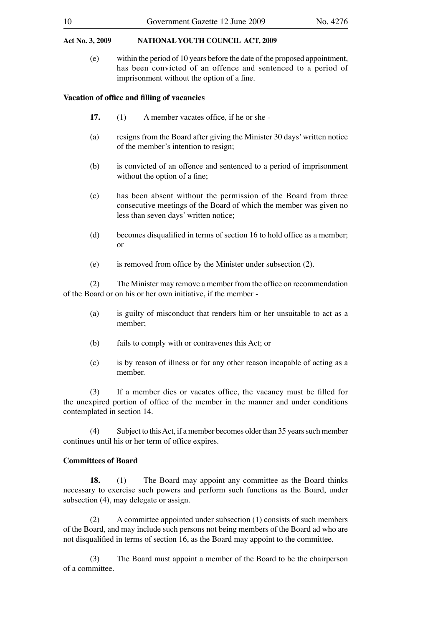(e) within the period of 10 years before the date of the proposed appointment, has been convicted of an offence and sentenced to a period of imprisonment without the option of a fine.

#### **Vacation of office and filling of vacancies**

- **17.** (1) A member vacates office, if he or she -
- (a) resigns from the Board after giving the Minister 30 days' written notice of the member's intention to resign;
- (b) is convicted of an offence and sentenced to a period of imprisonment without the option of a fine;
- (c) has been absent without the permission of the Board from three consecutive meetings of the Board of which the member was given no less than seven days' written notice;
- (d) becomes disqualified in terms of section 16 to hold office as a member; or
- (e) is removed from office by the Minister under subsection (2).

(2) The Minister may remove a member from the office on recommendation of the Board or on his or her own initiative, if the member -

- (a) is guilty of misconduct that renders him or her unsuitable to act as a member;
- (b) fails to comply with or contravenes this Act; or
- (c) is by reason of illness or for any other reason incapable of acting as a member.

(3) If a member dies or vacates office, the vacancy must be filled for the unexpired portion of office of the member in the manner and under conditions contemplated in section 14.

(4) Subject to this Act, if a member becomes older than 35 years such member continues until his or her term of office expires.

#### **Committees of Board**

**18.** (1) The Board may appoint any committee as the Board thinks necessary to exercise such powers and perform such functions as the Board, under subsection (4), may delegate or assign.

(2) A committee appointed under subsection (1) consists of such members of the Board, and may include such persons not being members of the Board ad who are not disqualified in terms of section 16, as the Board may appoint to the committee.

(3) The Board must appoint a member of the Board to be the chairperson of a committee.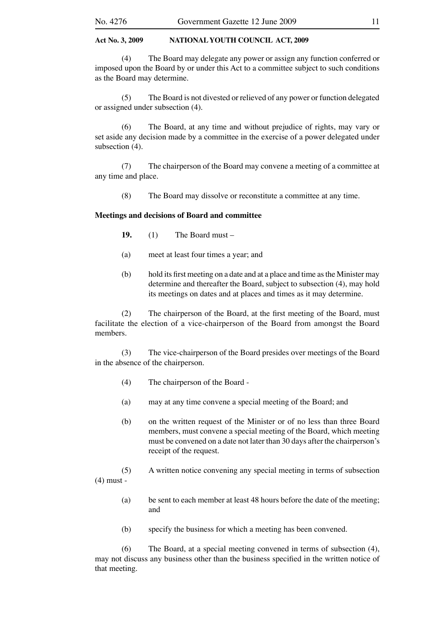(4) The Board may delegate any power or assign any function conferred or imposed upon the Board by or under this Act to a committee subject to such conditions as the Board may determine.

(5) The Board is not divested or relieved of any power or function delegated or assigned under subsection (4).

(6) The Board, at any time and without prejudice of rights, may vary or set aside any decision made by a committee in the exercise of a power delegated under subsection (4).

(7) The chairperson of the Board may convene a meeting of a committee at any time and place.

(8) The Board may dissolve or reconstitute a committee at any time.

#### **Meetings and decisions of Board and committee**

- **19.** (1) The Board must –
- (a) meet at least four times a year; and
- (b) hold its first meeting on a date and at a place and time as the Minister may determine and thereafter the Board, subject to subsection (4), may hold its meetings on dates and at places and times as it may determine.

(2) The chairperson of the Board, at the first meeting of the Board, must facilitate the election of a vice-chairperson of the Board from amongst the Board members.

(3) The vice-chairperson of the Board presides over meetings of the Board in the absence of the chairperson.

- (4) The chairperson of the Board -
- (a) may at any time convene a special meeting of the Board; and
- (b) on the written request of the Minister or of no less than three Board members, must convene a special meeting of the Board, which meeting must be convened on a date not later than 30 days after the chairperson's receipt of the request.

(5) A written notice convening any special meeting in terms of subsection (4) must -

- (a) be sent to each member at least 48 hours before the date of the meeting; and
- (b) specify the business for which a meeting has been convened.

(6) The Board, at a special meeting convened in terms of subsection (4), may not discuss any business other than the business specified in the written notice of that meeting.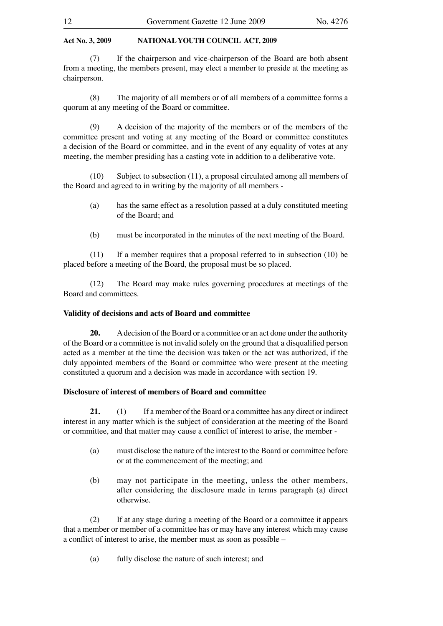(7) If the chairperson and vice-chairperson of the Board are both absent from a meeting, the members present, may elect a member to preside at the meeting as chairperson.

(8) The majority of all members or of all members of a committee forms a quorum at any meeting of the Board or committee.

(9) A decision of the majority of the members or of the members of the committee present and voting at any meeting of the Board or committee constitutes a decision of the Board or committee, and in the event of any equality of votes at any meeting, the member presiding has a casting vote in addition to a deliberative vote.

(10) Subject to subsection (11), a proposal circulated among all members of the Board and agreed to in writing by the majority of all members -

- (a) has the same effect as a resolution passed at a duly constituted meeting of the Board; and
- (b) must be incorporated in the minutes of the next meeting of the Board.

(11) If a member requires that a proposal referred to in subsection (10) be placed before a meeting of the Board, the proposal must be so placed.

(12) The Board may make rules governing procedures at meetings of the Board and committees.

#### **Validity of decisions and acts of Board and committee**

**20.** A decision of the Board or a committee or an act done under the authority of the Board or a committee is not invalid solely on the ground that a disqualified person acted as a member at the time the decision was taken or the act was authorized, if the duly appointed members of the Board or committee who were present at the meeting constituted a quorum and a decision was made in accordance with section 19.

#### **Disclosure of interest of members of Board and committee**

**21.** (1) If a member of the Board or a committee has any direct or indirect interest in any matter which is the subject of consideration at the meeting of the Board or committee, and that matter may cause a conflict of interest to arise, the member -

- (a) must disclose the nature of the interest to the Board or committee before or at the commencement of the meeting; and
- (b) may not participate in the meeting, unless the other members, after considering the disclosure made in terms paragraph (a) direct otherwise.

(2) If at any stage during a meeting of the Board or a committee it appears that a member or member of a committee has or may have any interest which may cause a conflict of interest to arise, the member must as soon as possible –

(a) fully disclose the nature of such interest; and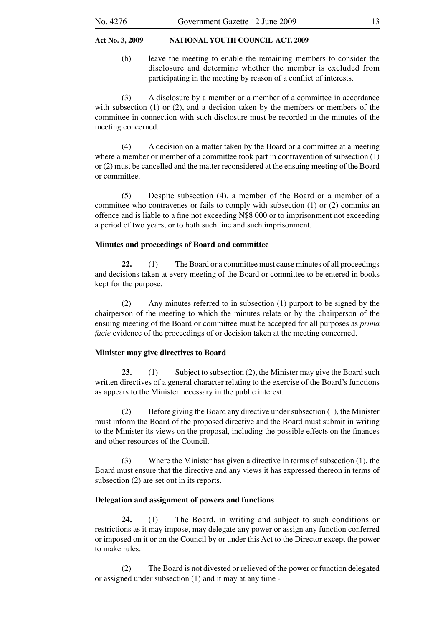(b) leave the meeting to enable the remaining members to consider the disclosure and determine whether the member is excluded from participating in the meeting by reason of a conflict of interests.

(3) A disclosure by a member or a member of a committee in accordance with subsection (1) or (2), and a decision taken by the members or members of the committee in connection with such disclosure must be recorded in the minutes of the meeting concerned.

(4) A decision on a matter taken by the Board or a committee at a meeting where a member or member of a committee took part in contravention of subsection (1) or (2) must be cancelled and the matter reconsidered at the ensuing meeting of the Board or committee.

(5) Despite subsection (4), a member of the Board or a member of a committee who contravenes or fails to comply with subsection (1) or (2) commits an offence and is liable to a fine not exceeding N\$8 000 or to imprisonment not exceeding a period of two years, or to both such fine and such imprisonment.

#### **Minutes and proceedings of Board and committee**

**22.** (1) The Board or a committee must cause minutes of all proceedings and decisions taken at every meeting of the Board or committee to be entered in books kept for the purpose.

(2) Any minutes referred to in subsection (1) purport to be signed by the chairperson of the meeting to which the minutes relate or by the chairperson of the ensuing meeting of the Board or committee must be accepted for all purposes as *prima facie* evidence of the proceedings of or decision taken at the meeting concerned.

#### **Minister may give directives to Board**

23. (1) Subject to subsection (2), the Minister may give the Board such written directives of a general character relating to the exercise of the Board's functions as appears to the Minister necessary in the public interest.

(2) Before giving the Board any directive under subsection (1), the Minister must inform the Board of the proposed directive and the Board must submit in writing to the Minister its views on the proposal, including the possible effects on the finances and other resources of the Council.

(3) Where the Minister has given a directive in terms of subsection (1), the Board must ensure that the directive and any views it has expressed thereon in terms of subsection (2) are set out in its reports.

#### **Delegation and assignment of powers and functions**

**24.** (1) The Board, in writing and subject to such conditions or restrictions as it may impose, may delegate any power or assign any function conferred or imposed on it or on the Council by or under this Act to the Director except the power to make rules.

(2) The Board is not divested or relieved of the power or function delegated or assigned under subsection (1) and it may at any time -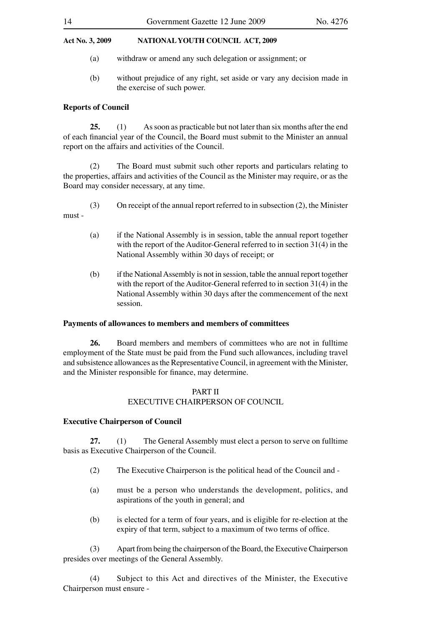- (a) withdraw or amend any such delegation or assignment; or
- (b) without prejudice of any right, set aside or vary any decision made in the exercise of such power.

#### **Reports of Council**

**25.** (1) As soon as practicable but not later than six months after the end of each financial year of the Council, the Board must submit to the Minister an annual report on the affairs and activities of the Council.

(2) The Board must submit such other reports and particulars relating to the properties, affairs and activities of the Council as the Minister may require, or as the Board may consider necessary, at any time.

- (3) On receipt of the annual report referred to in subsection (2), the Minister must -
	- (a) if the National Assembly is in session, table the annual report together with the report of the Auditor-General referred to in section 31(4) in the National Assembly within 30 days of receipt; or
	- (b) if the National Assembly is not in session, table the annual report together with the report of the Auditor-General referred to in section 31(4) in the National Assembly within 30 days after the commencement of the next session.

#### **Payments of allowances to members and members of committees**

**26.** Board members and members of committees who are not in fulltime employment of the State must be paid from the Fund such allowances, including travel and subsistence allowances as the Representative Council, in agreement with the Minister, and the Minister responsible for finance, may determine.

#### PART II EXECUTIVE CHAIRPERSON OF COUNCIL

#### **Executive Chairperson of Council**

**27.** (1) The General Assembly must elect a person to serve on fulltime basis as Executive Chairperson of the Council.

- (2) The Executive Chairperson is the political head of the Council and -
- (a) must be a person who understands the development, politics, and aspirations of the youth in general; and
- (b) is elected for a term of four years, and is eligible for re-election at the expiry of that term, subject to a maximum of two terms of office.

(3) Apart from being the chairperson of the Board, the Executive Chairperson presides over meetings of the General Assembly.

(4) Subject to this Act and directives of the Minister, the Executive Chairperson must ensure -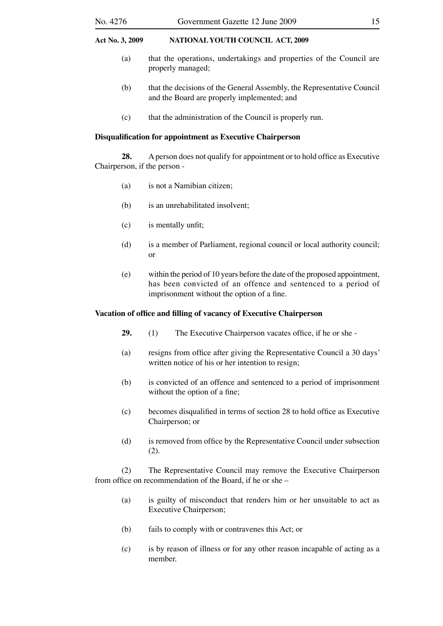- (a) that the operations, undertakings and properties of the Council are properly managed;
- (b) that the decisions of the General Assembly, the Representative Council and the Board are properly implemented; and
- (c) that the administration of the Council is properly run.

#### **Disqualification for appointment as Executive Chairperson**

**28.** A person does not qualify for appointment or to hold office as Executive Chairperson, if the person -

- (a) is not a Namibian citizen;
- (b) is an unrehabilitated insolvent;
- (c) is mentally unfit;
- (d) is a member of Parliament, regional council or local authority council; or
- (e) within the period of 10 years before the date of the proposed appointment, has been convicted of an offence and sentenced to a period of imprisonment without the option of a fine.

#### **Vacation of office and filling of vacancy of Executive Chairperson**

- **29.** (1) The Executive Chairperson vacates office, if he or she -
- (a) resigns from office after giving the Representative Council a 30 days' written notice of his or her intention to resign;
- (b) is convicted of an offence and sentenced to a period of imprisonment without the option of a fine;
- (c) becomes disqualified in terms of section 28 to hold office as Executive Chairperson; or
- (d) is removed from office by the Representative Council under subsection (2).

(2) The Representative Council may remove the Executive Chairperson from office on recommendation of the Board, if he or she –

- (a) is guilty of misconduct that renders him or her unsuitable to act as Executive Chairperson;
- (b) fails to comply with or contravenes this Act; or
- (c) is by reason of illness or for any other reason incapable of acting as a member.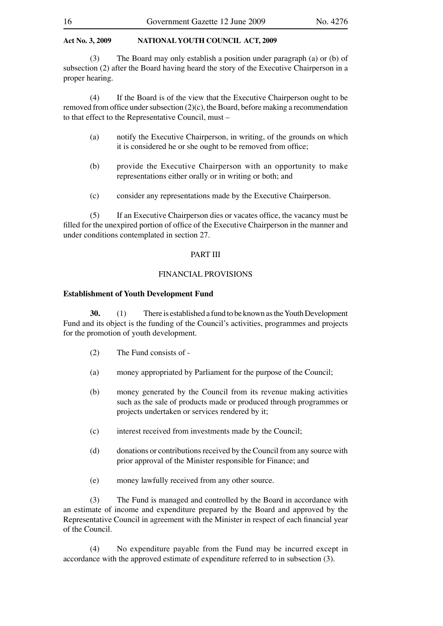(3) The Board may only establish a position under paragraph (a) or (b) of subsection (2) after the Board having heard the story of the Executive Chairperson in a proper hearing.

(4) If the Board is of the view that the Executive Chairperson ought to be removed from office under subsection (2)(c), the Board, before making a recommendation to that effect to the Representative Council, must –

- (a) notify the Executive Chairperson, in writing, of the grounds on which it is considered he or she ought to be removed from office;
- (b) provide the Executive Chairperson with an opportunity to make representations either orally or in writing or both; and
- (c) consider any representations made by the Executive Chairperson.

(5) If an Executive Chairperson dies or vacates office, the vacancy must be filled for the unexpired portion of office of the Executive Chairperson in the manner and under conditions contemplated in section 27.

#### PART III

#### FINANCIAL PROVISIONS

#### **Establishment of Youth Development Fund**

**30.** (1) There is established a fund to be known as the Youth Development Fund and its object is the funding of the Council's activities, programmes and projects for the promotion of youth development.

- (2) The Fund consists of -
- (a) money appropriated by Parliament for the purpose of the Council;
- (b) money generated by the Council from its revenue making activities such as the sale of products made or produced through programmes or projects undertaken or services rendered by it;
- (c) interest received from investments made by the Council;
- (d) donations or contributions received by the Council from any source with prior approval of the Minister responsible for Finance; and
- (e) money lawfully received from any other source.

(3) The Fund is managed and controlled by the Board in accordance with an estimate of income and expenditure prepared by the Board and approved by the Representative Council in agreement with the Minister in respect of each financial year of the Council.

(4) No expenditure payable from the Fund may be incurred except in accordance with the approved estimate of expenditure referred to in subsection (3).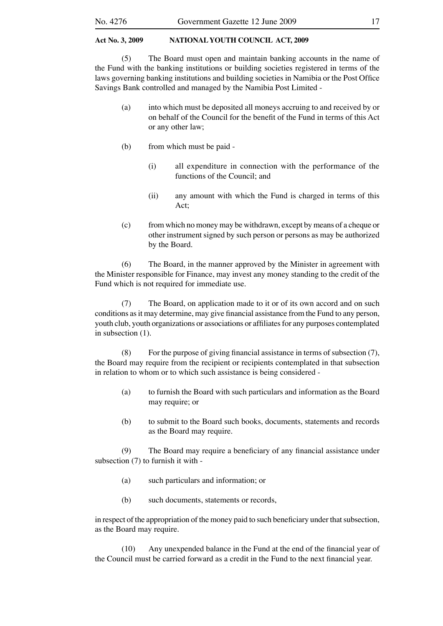(5) The Board must open and maintain banking accounts in the name of the Fund with the banking institutions or building societies registered in terms of the laws governing banking institutions and building societies in Namibia or the Post Office Savings Bank controlled and managed by the Namibia Post Limited -

- (a) into which must be deposited all moneys accruing to and received by or on behalf of the Council for the benefit of the Fund in terms of this Act or any other law;
- (b) from which must be paid
	- (i) all expenditure in connection with the performance of the functions of the Council; and
	- (ii) any amount with which the Fund is charged in terms of this Act;
- (c) from which no money may be withdrawn, except by means of a cheque or other instrument signed by such person or persons as may be authorized by the Board.

(6) The Board, in the manner approved by the Minister in agreement with the Minister responsible for Finance, may invest any money standing to the credit of the Fund which is not required for immediate use.

(7) The Board, on application made to it or of its own accord and on such conditions as it may determine, may give financial assistance from the Fund to any person, youth club, youth organizations or associations or affiliates for any purposes contemplated in subsection (1).

(8) For the purpose of giving financial assistance in terms of subsection (7), the Board may require from the recipient or recipients contemplated in that subsection in relation to whom or to which such assistance is being considered -

- (a) to furnish the Board with such particulars and information as the Board may require; or
- (b) to submit to the Board such books, documents, statements and records as the Board may require.

(9) The Board may require a beneficiary of any financial assistance under subsection (7) to furnish it with -

- (a) such particulars and information; or
- (b) such documents, statements or records,

in respect of the appropriation of the money paid to such beneficiary under that subsection, as the Board may require.

(10) Any unexpended balance in the Fund at the end of the financial year of the Council must be carried forward as a credit in the Fund to the next financial year.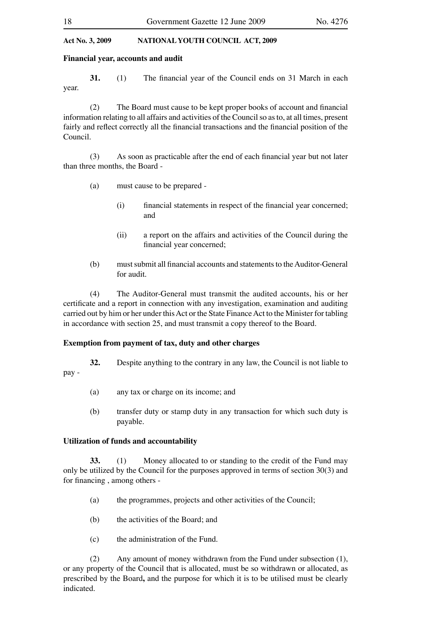#### **Financial year, accounts and audit**

**31.** (1) The financial year of the Council ends on 31 March in each year.

(2) The Board must cause to be kept proper books of account and financial information relating to all affairs and activities of the Council so as to, at all times, present fairly and reflect correctly all the financial transactions and the financial position of the Council.

(3) As soon as practicable after the end of each financial year but not later than three months, the Board -

- (a) must cause to be prepared
	- (i) financial statements in respect of the financial year concerned; and
	- (ii) a report on the affairs and activities of the Council during the financial year concerned;
- (b) must submit all financial accounts and statements to the Auditor-General for audit.

(4) The Auditor-General must transmit the audited accounts, his or her certificate and a report in connection with any investigation, examination and auditing carried out by him or her under this Act or the State Finance Act to the Minister for tabling in accordance with section 25, and must transmit a copy thereof to the Board.

#### **Exemption from payment of tax, duty and other charges**

**32.** Despite anything to the contrary in any law, the Council is not liable to pay -

- (a) any tax or charge on its income; and
- (b) transfer duty or stamp duty in any transaction for which such duty is payable.

#### **Utilization of funds and accountability**

**33.** (1) Money allocated to or standing to the credit of the Fund may only be utilized by the Council for the purposes approved in terms of section 30(3) and for financing , among others -

- (a) the programmes, projects and other activities of the Council;
- (b) the activities of the Board; and
- (c) the administration of the Fund.

(2) Any amount of money withdrawn from the Fund under subsection (1), or any property of the Council that is allocated, must be so withdrawn or allocated, as prescribed by the Board**,** and the purpose for which it is to be utilised must be clearly indicated.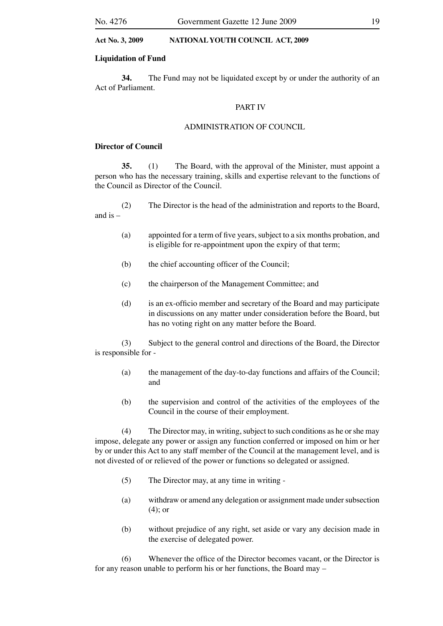#### **Liquidation of Fund**

**34.** The Fund may not be liquidated except by or under the authority of an Act of Parliament.

#### PART IV

#### ADMINISTRATION OF COUNCIL

#### **Director of Council**

**35.** (1) The Board, with the approval of the Minister, must appoint a person who has the necessary training, skills and expertise relevant to the functions of the Council as Director of the Council.

(2) The Director is the head of the administration and reports to the Board, and is  $-$ 

- (a) appointed for a term of five years, subject to a six months probation, and is eligible for re-appointment upon the expiry of that term;
- (b) the chief accounting officer of the Council;
- (c) the chairperson of the Management Committee; and
- (d) is an ex-officio member and secretary of the Board and may participate in discussions on any matter under consideration before the Board, but has no voting right on any matter before the Board.

(3) Subject to the general control and directions of the Board, the Director is responsible for -

- (a) the management of the day-to-day functions and affairs of the Council; and
- (b) the supervision and control of the activities of the employees of the Council in the course of their employment.

(4) The Director may, in writing, subject to such conditions as he or she may impose, delegate any power or assign any function conferred or imposed on him or her by or under this Act to any staff member of the Council at the management level, and is not divested of or relieved of the power or functions so delegated or assigned.

- (5) The Director may, at any time in writing -
- (a) withdraw or amend any delegation or assignment made under subsection (4); or
- (b) without prejudice of any right, set aside or vary any decision made in the exercise of delegated power.

(6) Whenever the office of the Director becomes vacant, or the Director is for any reason unable to perform his or her functions, the Board may –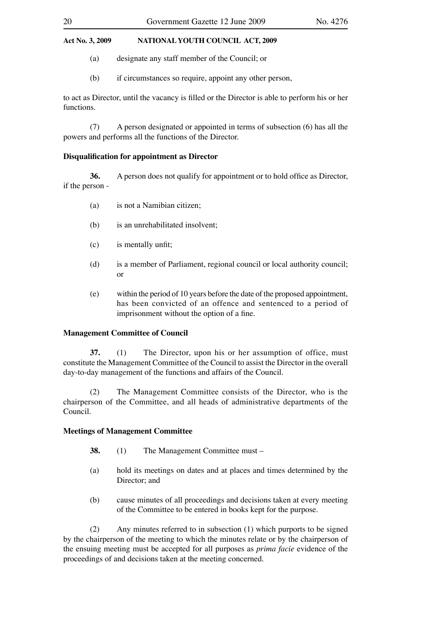- (a) designate any staff member of the Council; or
- (b) if circumstances so require, appoint any other person,

to act as Director, until the vacancy is filled or the Director is able to perform his or her functions.

(7) A person designated or appointed in terms of subsection (6) has all the powers and performs all the functions of the Director.

#### **Disqualification for appointment as Director**

**36.** A person does not qualify for appointment or to hold office as Director, if the person -

- (a) is not a Namibian citizen;
- (b) is an unrehabilitated insolvent;
- (c) is mentally unfit;
- (d) is a member of Parliament, regional council or local authority council; or
- (e) within the period of 10 years before the date of the proposed appointment, has been convicted of an offence and sentenced to a period of imprisonment without the option of a fine.

#### **Management Committee of Council**

**37.** (1) The Director, upon his or her assumption of office, must constitute the Management Committee of the Council to assist the Director in the overall day-to-day management of the functions and affairs of the Council.

(2) The Management Committee consists of the Director, who is the chairperson of the Committee, and all heads of administrative departments of the Council.

#### **Meetings of Management Committee**

- **38.** (1) The Management Committee must –
- (a) hold its meetings on dates and at places and times determined by the Director: and
- (b) cause minutes of all proceedings and decisions taken at every meeting of the Committee to be entered in books kept for the purpose.

(2) Any minutes referred to in subsection (1) which purports to be signed by the chairperson of the meeting to which the minutes relate or by the chairperson of the ensuing meeting must be accepted for all purposes as *prima facie* evidence of the proceedings of and decisions taken at the meeting concerned.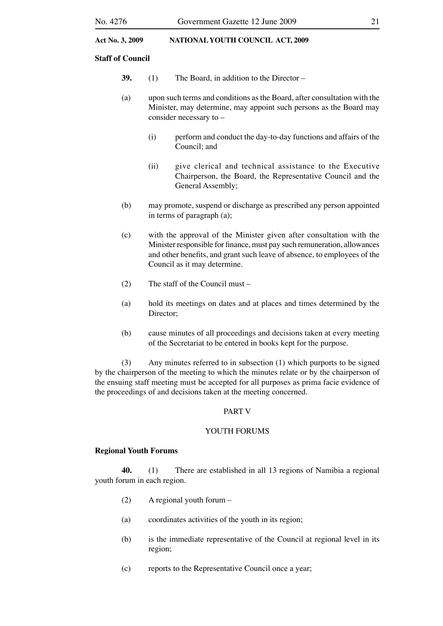#### **Staff of Council**

- **39.** (1) The Board, in addition to the Director –
- (a) upon such terms and conditions as the Board, after consultation with the Minister, may determine, may appoint such persons as the Board may consider necessary to –
	- (i) perform and conduct the day-to-day functions and affairs of the Council; and
	- (ii) give clerical and technical assistance to the Executive Chairperson, the Board, the Representative Council and the General Assembly;
- (b) may promote, suspend or discharge as prescribed any person appointed in terms of paragraph (a);
- (c) with the approval of the Minister given after consultation with the Minister responsible for finance, must pay such remuneration, allowances and other benefits, and grant such leave of absence, to employees of the Council as it may determine.
- (2) The staff of the Council must –
- (a) hold its meetings on dates and at places and times determined by the Director;
- (b) cause minutes of all proceedings and decisions taken at every meeting of the Secretariat to be entered in books kept for the purpose.

(3) Any minutes referred to in subsection (1) which purports to be signed by the chairperson of the meeting to which the minutes relate or by the chairperson of the ensuing staff meeting must be accepted for all purposes as prima facie evidence of the proceedings of and decisions taken at the meeting concerned.

#### PART V

#### YOUTH FORUMS

#### **Regional Youth Forums**

**40.** (1) There are established in all 13 regions of Namibia a regional youth forum in each region.

- (2) A regional youth forum –
- (a) coordinates activities of the youth in its region;
- (b) is the immediate representative of the Council at regional level in its region;
- (c) reports to the Representative Council once a year;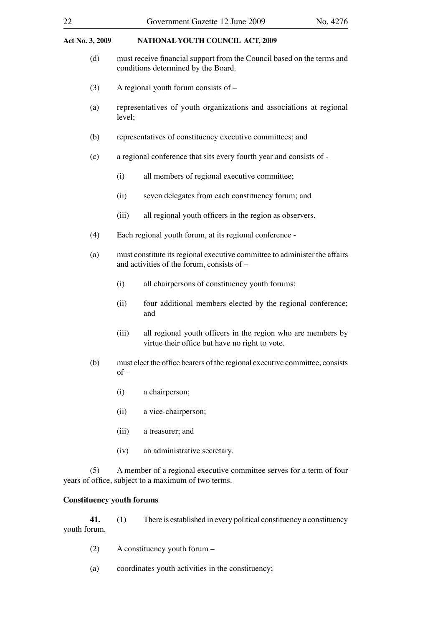- (d) must receive financial support from the Council based on the terms and conditions determined by the Board.
- (3) A regional youth forum consists of –
- (a) representatives of youth organizations and associations at regional level;
- (b) representatives of constituency executive committees; and
- (c) a regional conference that sits every fourth year and consists of
	- (i) all members of regional executive committee;
	- (ii) seven delegates from each constituency forum; and
	- (iii) all regional youth officers in the region as observers.
- (4) Each regional youth forum, at its regional conference -
- (a) must constitute its regional executive committee to administer the affairs and activities of the forum, consists of –
	- (i) all chairpersons of constituency youth forums;
	- (ii) four additional members elected by the regional conference; and
	- (iii) all regional youth officers in the region who are members by virtue their office but have no right to vote.
- (b) must elect the office bearers of the regional executive committee, consists  $of –$ 
	- (i) a chairperson;
	- (ii) a vice-chairperson;
	- (iii) a treasurer; and
	- (iv) an administrative secretary.

(5) A member of a regional executive committee serves for a term of four years of office, subject to a maximum of two terms.

#### **Constituency youth forums**

**41.** (1) There is established in every political constituency a constituency youth forum.

- (2) A constituency youth forum –
- (a) coordinates youth activities in the constituency;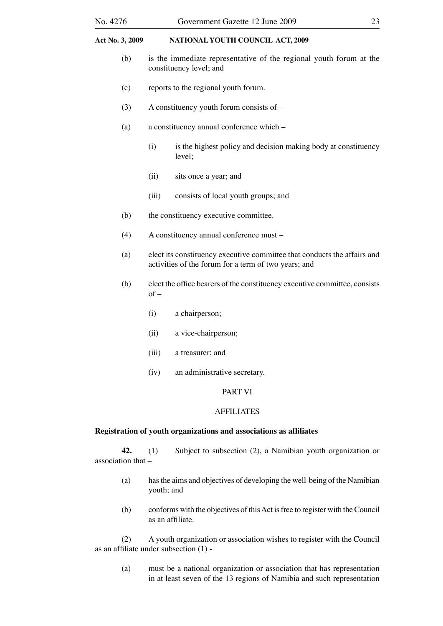- (b) is the immediate representative of the regional youth forum at the constituency level; and
- (c) reports to the regional youth forum.
- (3) A constituency youth forum consists of –
- (a) a constituency annual conference which
	- (i) is the highest policy and decision making body at constituency level;
	- (ii) sits once a year; and
	- (iii) consists of local youth groups; and
- (b) the constituency executive committee.
- (4) A constituency annual conference must –
- (a) elect its constituency executive committee that conducts the affairs and activities of the forum for a term of two years; and
- (b) elect the office bearers of the constituency executive committee, consists  $of -$ 
	- (i) a chairperson;
	- (ii) a vice-chairperson;
	- (iii) a treasurer; and
	- (iv) an administrative secretary.

#### PART VI

#### AFFILIATES

#### **Registration of youth organizations and associations as affiliates**

**42.** (1) Subject to subsection (2), a Namibian youth organization or association that –

- (a) has the aims and objectives of developing the well-being of the Namibian youth; and
- (b) conforms with the objectives of this Act is free to register with the Council as an affiliate.

(2) A youth organization or association wishes to register with the Council as an affiliate under subsection (1) -

(a) must be a national organization or association that has representation in at least seven of the 13 regions of Namibia and such representation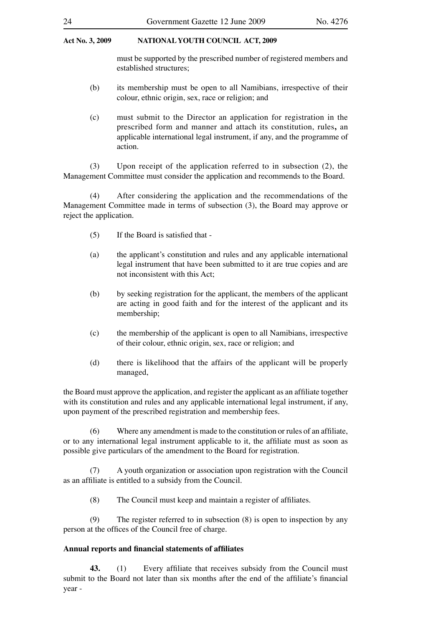must be supported by the prescribed number of registered members and established structures;

- (b) its membership must be open to all Namibians, irrespective of their colour, ethnic origin, sex, race or religion; and
- (c) must submit to the Director an application for registration in the prescribed form and manner and attach its constitution, rules**,** an applicable international legal instrument, if any, and the programme of action.

(3) Upon receipt of the application referred to in subsection (2), the Management Committee must consider the application and recommends to the Board.

(4) After considering the application and the recommendations of the Management Committee made in terms of subsection (3), the Board may approve or reject the application.

- (5) If the Board is satisfied that -
- (a) the applicant's constitution and rules and any applicable international legal instrument that have been submitted to it are true copies and are not inconsistent with this Act;
- (b) by seeking registration for the applicant, the members of the applicant are acting in good faith and for the interest of the applicant and its membership;
- (c) the membership of the applicant is open to all Namibians, irrespective of their colour, ethnic origin, sex, race or religion; and
- (d) there is likelihood that the affairs of the applicant will be properly managed,

the Board must approve the application, and register the applicant as an affiliate together with its constitution and rules and any applicable international legal instrument, if any, upon payment of the prescribed registration and membership fees.

(6) Where any amendment is made to the constitution or rules of an affiliate, or to any international legal instrument applicable to it, the affiliate must as soon as possible give particulars of the amendment to the Board for registration.

(7) A youth organization or association upon registration with the Council as an affiliate is entitled to a subsidy from the Council.

(8) The Council must keep and maintain a register of affiliates.

(9) The register referred to in subsection (8) is open to inspection by any person at the offices of the Council free of charge.

#### **Annual reports and financial statements of affiliates**

**43.** (1) Every affiliate that receives subsidy from the Council must submit to the Board not later than six months after the end of the affiliate's financial year -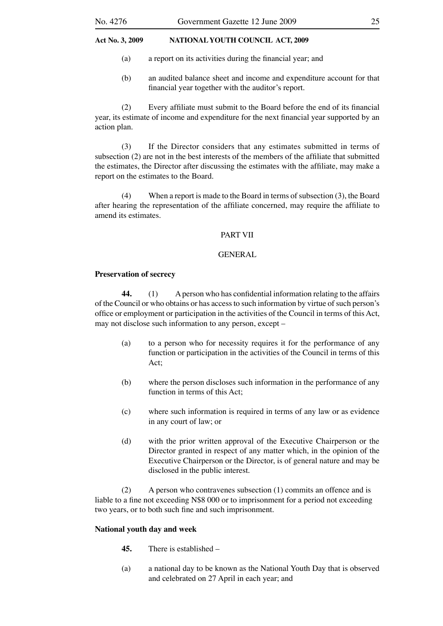- (a) a report on its activities during the financial year; and
- (b) an audited balance sheet and income and expenditure account for that financial year together with the auditor's report.

(2) Every affiliate must submit to the Board before the end of its financial year, its estimate of income and expenditure for the next financial year supported by an action plan.

(3) If the Director considers that any estimates submitted in terms of subsection (2) are not in the best interests of the members of the affiliate that submitted the estimates, the Director after discussing the estimates with the affiliate, may make a report on the estimates to the Board.

(4) When a report is made to the Board in terms of subsection (3), the Board after hearing the representation of the affiliate concerned, may require the affiliate to amend its estimates.

#### PART VII

#### GENERAL

#### **Preservation of secrecy**

**44.** (1) A person who has confidential information relating to the affairs of the Council or who obtains or has access to such information by virtue of such person's office or employment or participation in the activities of the Council in terms of this Act, may not disclose such information to any person, except –

- (a) to a person who for necessity requires it for the performance of any function or participation in the activities of the Council in terms of this Act;
- (b) where the person discloses such information in the performance of any function in terms of this Act;
- (c) where such information is required in terms of any law or as evidence in any court of law; or
- (d) with the prior written approval of the Executive Chairperson or the Director granted in respect of any matter which, in the opinion of the Executive Chairperson or the Director, is of general nature and may be disclosed in the public interest.

(2) A person who contravenes subsection (1) commits an offence and is liable to a fine not exceeding N\$8 000 or to imprisonment for a period not exceeding two years, or to both such fine and such imprisonment.

#### **National youth day and week**

- **45.** There is established –
- (a) a national day to be known as the National Youth Day that is observed and celebrated on 27 April in each year; and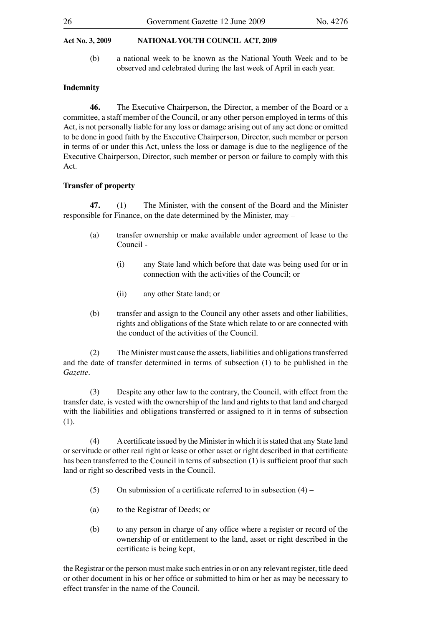(b) a national week to be known as the National Youth Week and to be observed and celebrated during the last week of April in each year.

#### **Indemnity**

**46.** The Executive Chairperson, the Director, a member of the Board or a committee, a staff member of the Council, or any other person employed in terms of this Act, is not personally liable for any loss or damage arising out of any act done or omitted to be done in good faith by the Executive Chairperson, Director, such member or person in terms of or under this Act, unless the loss or damage is due to the negligence of the Executive Chairperson, Director, such member or person or failure to comply with this Act.

#### **Transfer of property**

**47.** (1) The Minister, with the consent of the Board and the Minister responsible for Finance, on the date determined by the Minister, may –

- (a) transfer ownership or make available under agreement of lease to the Council -
	- (i) any State land which before that date was being used for or in connection with the activities of the Council; or
	- (ii) any other State land; or
- (b) transfer and assign to the Council any other assets and other liabilities, rights and obligations of the State which relate to or are connected with the conduct of the activities of the Council.

(2) The Minister must cause the assets, liabilities and obligations transferred and the date of transfer determined in terms of subsection (1) to be published in the *Gazette*.

(3) Despite any other law to the contrary, the Council, with effect from the transfer date, is vested with the ownership of the land and rights to that land and charged with the liabilities and obligations transferred or assigned to it in terms of subsection (1).

(4) A certificate issued by the Minister in which it is stated that any State land or servitude or other real right or lease or other asset or right described in that certificate has been transferred to the Council in terns of subsection (1) is sufficient proof that such land or right so described vests in the Council.

- (5) On submission of a certificate referred to in subsection  $(4)$  –
- (a) to the Registrar of Deeds; or
- (b) to any person in charge of any office where a register or record of the ownership of or entitlement to the land, asset or right described in the certificate is being kept,

the Registrar or the person must make such entries in or on any relevant register, title deed or other document in his or her office or submitted to him or her as may be necessary to effect transfer in the name of the Council.